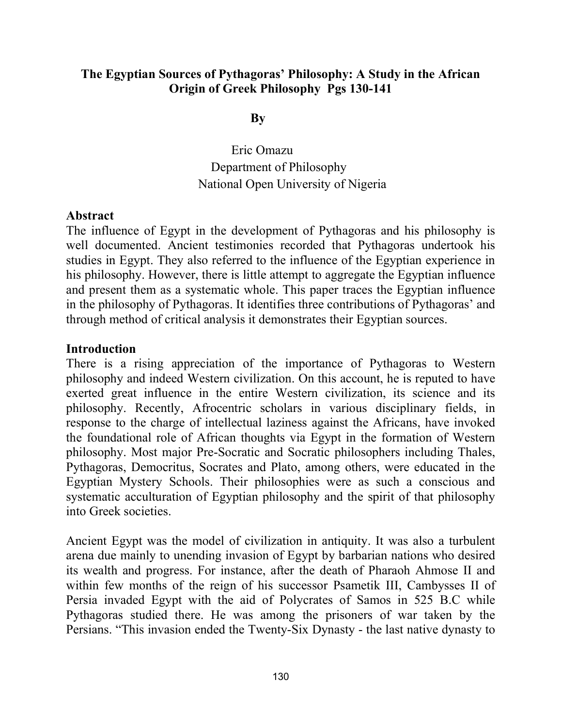## The Egyptian Sources of Pythagoras' Philosophy: A Study in the African Origin of Greek Philosophy Pgs 130-141

#### By

Eric Omazu Department of Philosophy National Open University of Nigeria

#### Abstract

The influence of Egypt in the development of Pythagoras and his philosophy is well documented. Ancient testimonies recorded that Pythagoras undertook his studies in Egypt. They also referred to the influence of the Egyptian experience in his philosophy. However, there is little attempt to aggregate the Egyptian influence and present them as a systematic whole. This paper traces the Egyptian influence in the philosophy of Pythagoras. It identifies three contributions of Pythagoras' and through method of critical analysis it demonstrates their Egyptian sources.

### Introduction

There is a rising appreciation of the importance of Pythagoras to Western philosophy and indeed Western civilization. On this account, he is reputed to have exerted great influence in the entire Western civilization, its science and its philosophy. Recently, Afrocentric scholars in various disciplinary fields, in response to the charge of intellectual laziness against the Africans, have invoked the foundational role of African thoughts via Egypt in the formation of Western philosophy. Most major Pre-Socratic and Socratic philosophers including Thales, Pythagoras, Democritus, Socrates and Plato, among others, were educated in the Egyptian Mystery Schools. Their philosophies were as such a conscious and systematic acculturation of Egyptian philosophy and the spirit of that philosophy into Greek societies.

Ancient Egypt was the model of civilization in antiquity. It was also a turbulent arena due mainly to unending invasion of Egypt by barbarian nations who desired its wealth and progress. For instance, after the death of Pharaoh Ahmose II and within few months of the reign of his successor Psametik III, Cambysses II of Persia invaded Egypt with the aid of Polycrates of Samos in 525 B.C while Pythagoras studied there. He was among the prisoners of war taken by the Persians. "This invasion ended the Twenty-Six Dynasty - the last native dynasty to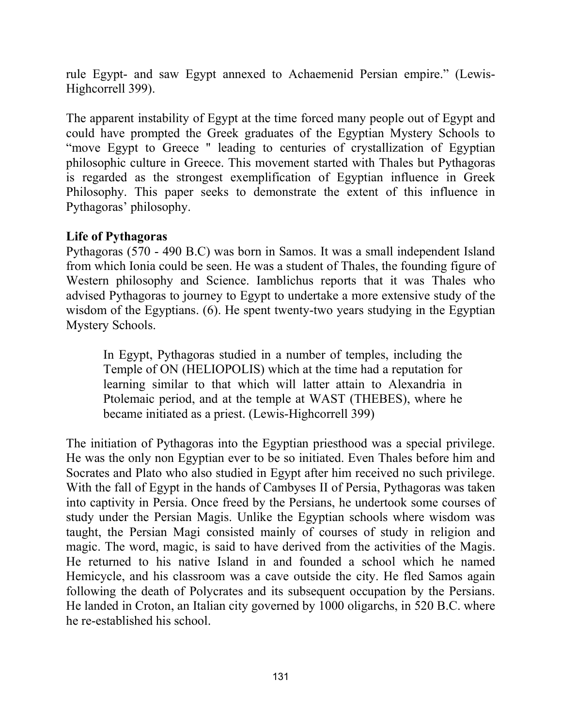rule Egypt- and saw Egypt annexed to Achaemenid Persian empire." (Lewis-Highcorrell 399).

The apparent instability of Egypt at the time forced many people out of Egypt and could have prompted the Greek graduates of the Egyptian Mystery Schools to "move Egypt to Greece '' leading to centuries of crystallization of Egyptian philosophic culture in Greece. This movement started with Thales but Pythagoras is regarded as the strongest exemplification of Egyptian influence in Greek Philosophy. This paper seeks to demonstrate the extent of this influence in Pythagoras' philosophy.

## Life of Pythagoras

Pythagoras (570 - 490 B.C) was born in Samos. It was a small independent Island from which Ionia could be seen. He was a student of Thales, the founding figure of Western philosophy and Science. Iamblichus reports that it was Thales who advised Pythagoras to journey to Egypt to undertake a more extensive study of the wisdom of the Egyptians. (6). He spent twenty-two years studying in the Egyptian Mystery Schools.

In Egypt, Pythagoras studied in a number of temples, including the Temple of ON (HELIOPOLIS) which at the time had a reputation for learning similar to that which will latter attain to Alexandria in Ptolemaic period, and at the temple at WAST (THEBES), where he became initiated as a priest. (Lewis-Highcorrell 399)

The initiation of Pythagoras into the Egyptian priesthood was a special privilege. He was the only non Egyptian ever to be so initiated. Even Thales before him and Socrates and Plato who also studied in Egypt after him received no such privilege. With the fall of Egypt in the hands of Cambyses II of Persia, Pythagoras was taken into captivity in Persia. Once freed by the Persians, he undertook some courses of study under the Persian Magis. Unlike the Egyptian schools where wisdom was taught, the Persian Magi consisted mainly of courses of study in religion and magic. The word, magic, is said to have derived from the activities of the Magis. He returned to his native Island in and founded a school which he named Hemicycle, and his classroom was a cave outside the city. He fled Samos again following the death of Polycrates and its subsequent occupation by the Persians. He landed in Croton, an Italian city governed by 1000 oligarchs, in 520 B.C. where he re-established his school.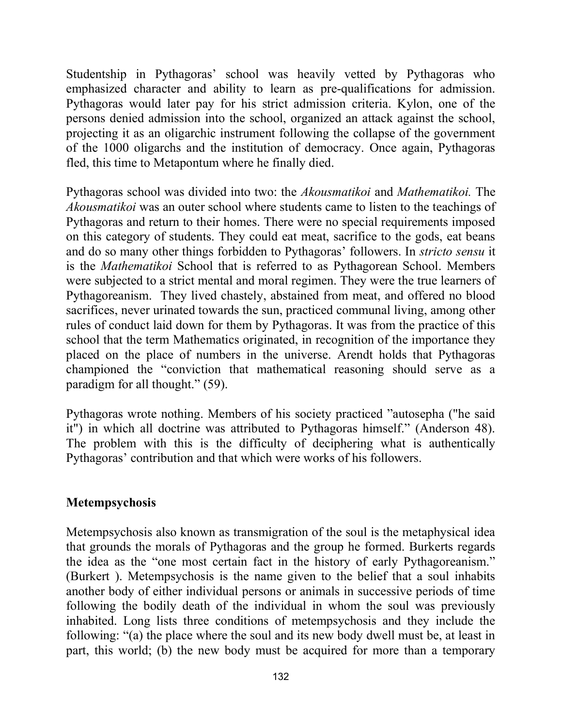Studentship in Pythagoras' school was heavily vetted by Pythagoras who emphasized character and ability to learn as pre-qualifications for admission. Pythagoras would later pay for his strict admission criteria. Kylon, one of the persons denied admission into the school, organized an attack against the school, projecting it as an oligarchic instrument following the collapse of the government of the 1000 oligarchs and the institution of democracy. Once again, Pythagoras fled, this time to Metapontum where he finally died.

Pythagoras school was divided into two: the Akousmatikoi and Mathematikoi. The Akousmatikoi was an outer school where students came to listen to the teachings of Pythagoras and return to their homes. There were no special requirements imposed on this category of students. They could eat meat, sacrifice to the gods, eat beans and do so many other things forbidden to Pythagoras' followers. In stricto sensu it is the Mathematikoi School that is referred to as Pythagorean School. Members were subjected to a strict mental and moral regimen. They were the true learners of Pythagoreanism. They lived chastely, abstained from meat, and offered no blood sacrifices, never urinated towards the sun, practiced communal living, among other rules of conduct laid down for them by Pythagoras. It was from the practice of this school that the term Mathematics originated, in recognition of the importance they placed on the place of numbers in the universe. Arendt holds that Pythagoras championed the "conviction that mathematical reasoning should serve as a paradigm for all thought." (59).

Pythagoras wrote nothing. Members of his society practiced "autosepha ("he said it") in which all doctrine was attributed to Pythagoras himself." (Anderson 48). The problem with this is the difficulty of deciphering what is authentically Pythagoras' contribution and that which were works of his followers.

## Metempsychosis

Metempsychosis also known as transmigration of the soul is the metaphysical idea that grounds the morals of Pythagoras and the group he formed. Burkerts regards the idea as the "one most certain fact in the history of early Pythagoreanism." (Burkert ). Metempsychosis is the name given to the belief that a soul inhabits another body of either individual persons or animals in successive periods of time following the bodily death of the individual in whom the soul was previously inhabited. Long lists three conditions of metempsychosis and they include the following: "(a) the place where the soul and its new body dwell must be, at least in part, this world; (b) the new body must be acquired for more than a temporary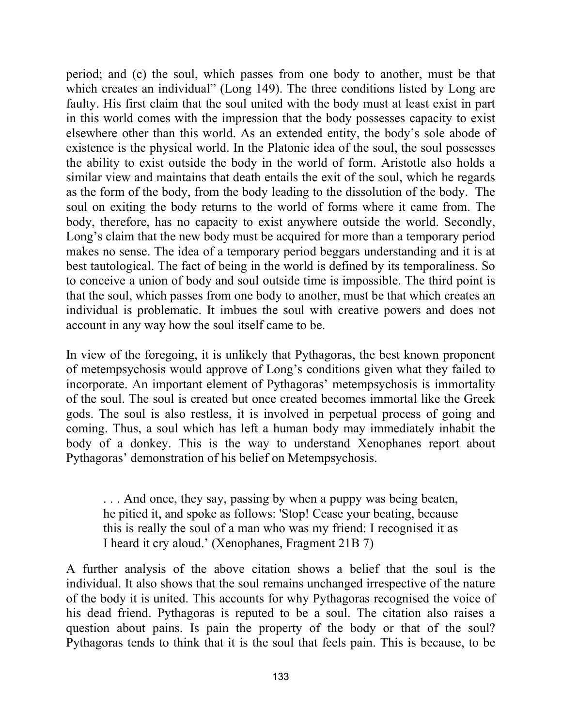period; and (c) the soul, which passes from one body to another, must be that which creates an individual" (Long 149). The three conditions listed by Long are faulty. His first claim that the soul united with the body must at least exist in part in this world comes with the impression that the body possesses capacity to exist elsewhere other than this world. As an extended entity, the body's sole abode of existence is the physical world. In the Platonic idea of the soul, the soul possesses the ability to exist outside the body in the world of form. Aristotle also holds a similar view and maintains that death entails the exit of the soul, which he regards as the form of the body, from the body leading to the dissolution of the body. The soul on exiting the body returns to the world of forms where it came from. The body, therefore, has no capacity to exist anywhere outside the world. Secondly, Long's claim that the new body must be acquired for more than a temporary period makes no sense. The idea of a temporary period beggars understanding and it is at best tautological. The fact of being in the world is defined by its temporaliness. So to conceive a union of body and soul outside time is impossible. The third point is that the soul, which passes from one body to another, must be that which creates an individual is problematic. It imbues the soul with creative powers and does not account in any way how the soul itself came to be.

In view of the foregoing, it is unlikely that Pythagoras, the best known proponent of metempsychosis would approve of Long's conditions given what they failed to incorporate. An important element of Pythagoras' metempsychosis is immortality of the soul. The soul is created but once created becomes immortal like the Greek gods. The soul is also restless, it is involved in perpetual process of going and coming. Thus, a soul which has left a human body may immediately inhabit the body of a donkey. This is the way to understand Xenophanes report about Pythagoras' demonstration of his belief on Metempsychosis.

. . . And once, they say, passing by when a puppy was being beaten, he pitied it, and spoke as follows: 'Stop! Cease your beating, because this is really the soul of a man who was my friend: I recognised it as I heard it cry aloud.' (Xenophanes, Fragment 21B 7)

A further analysis of the above citation shows a belief that the soul is the individual. It also shows that the soul remains unchanged irrespective of the nature of the body it is united. This accounts for why Pythagoras recognised the voice of his dead friend. Pythagoras is reputed to be a soul. The citation also raises a question about pains. Is pain the property of the body or that of the soul? Pythagoras tends to think that it is the soul that feels pain. This is because, to be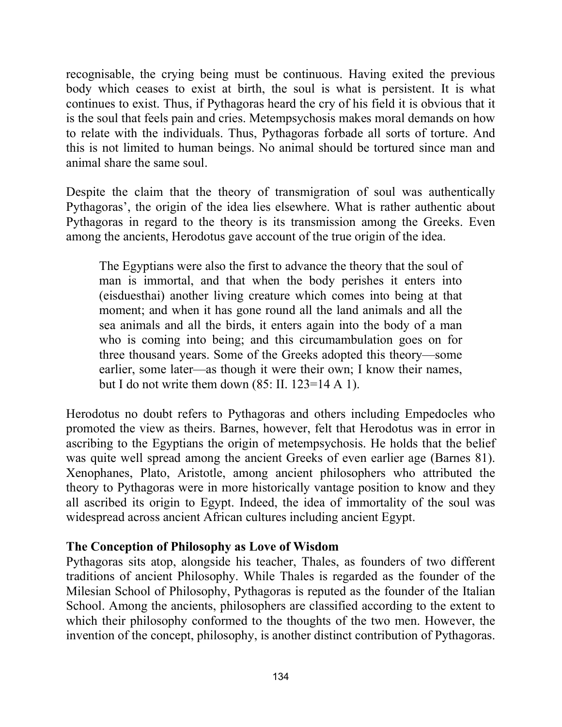recognisable, the crying being must be continuous. Having exited the previous body which ceases to exist at birth, the soul is what is persistent. It is what continues to exist. Thus, if Pythagoras heard the cry of his field it is obvious that it is the soul that feels pain and cries. Metempsychosis makes moral demands on how to relate with the individuals. Thus, Pythagoras forbade all sorts of torture. And this is not limited to human beings. No animal should be tortured since man and animal share the same soul.

Despite the claim that the theory of transmigration of soul was authentically Pythagoras', the origin of the idea lies elsewhere. What is rather authentic about Pythagoras in regard to the theory is its transmission among the Greeks. Even among the ancients, Herodotus gave account of the true origin of the idea.

The Egyptians were also the first to advance the theory that the soul of man is immortal, and that when the body perishes it enters into (eisduesthai) another living creature which comes into being at that moment; and when it has gone round all the land animals and all the sea animals and all the birds, it enters again into the body of a man who is coming into being; and this circumambulation goes on for three thousand years. Some of the Greeks adopted this theory—some earlier, some later—as though it were their own; I know their names, but I do not write them down  $(85:$  II.  $123=14$  A 1).

Herodotus no doubt refers to Pythagoras and others including Empedocles who promoted the view as theirs. Barnes, however, felt that Herodotus was in error in ascribing to the Egyptians the origin of metempsychosis. He holds that the belief was quite well spread among the ancient Greeks of even earlier age (Barnes 81). Xenophanes, Plato, Aristotle, among ancient philosophers who attributed the theory to Pythagoras were in more historically vantage position to know and they all ascribed its origin to Egypt. Indeed, the idea of immortality of the soul was widespread across ancient African cultures including ancient Egypt.

# The Conception of Philosophy as Love of Wisdom

Pythagoras sits atop, alongside his teacher, Thales, as founders of two different traditions of ancient Philosophy. While Thales is regarded as the founder of the Milesian School of Philosophy, Pythagoras is reputed as the founder of the Italian School. Among the ancients, philosophers are classified according to the extent to which their philosophy conformed to the thoughts of the two men. However, the invention of the concept, philosophy, is another distinct contribution of Pythagoras.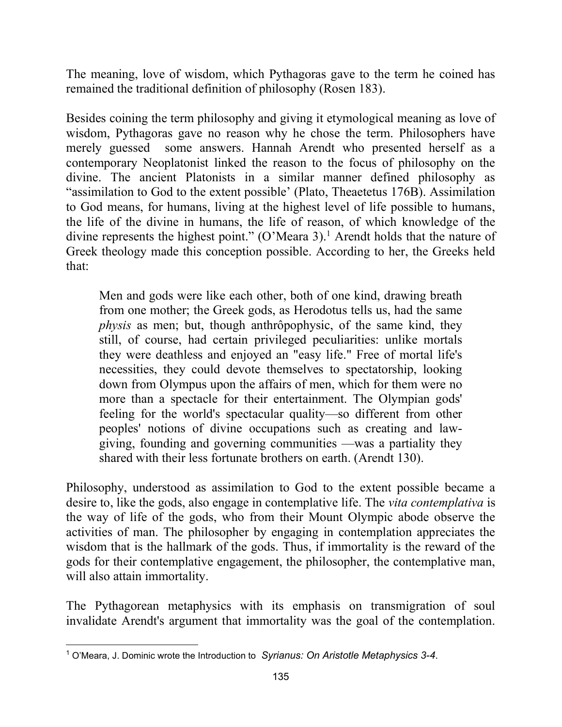The meaning, love of wisdom, which Pythagoras gave to the term he coined has remained the traditional definition of philosophy (Rosen 183).

Besides coining the term philosophy and giving it etymological meaning as love of wisdom, Pythagoras gave no reason why he chose the term. Philosophers have merely guessed some answers. Hannah Arendt who presented herself as a contemporary Neoplatonist linked the reason to the focus of philosophy on the divine. The ancient Platonists in a similar manner defined philosophy as "assimilation to God to the extent possible' (Plato, Theaetetus 176B). Assimilation to God means, for humans, living at the highest level of life possible to humans, the life of the divine in humans, the life of reason, of which knowledge of the divine represents the highest point."  $(O'Meara 3)$ .<sup>1</sup> Arendt holds that the nature of Greek theology made this conception possible. According to her, the Greeks held that:

Men and gods were like each other, both of one kind, drawing breath from one mother; the Greek gods, as Herodotus tells us, had the same physis as men; but, though anthrôpophysic, of the same kind, they still, of course, had certain privileged peculiarities: unlike mortals they were deathless and enjoyed an "easy life." Free of mortal life's necessities, they could devote themselves to spectatorship, looking down from Olympus upon the affairs of men, which for them were no more than a spectacle for their entertainment. The Olympian gods' feeling for the world's spectacular quality—so different from other peoples' notions of divine occupations such as creating and lawgiving, founding and governing communities —was a partiality they shared with their less fortunate brothers on earth. (Arendt 130).

Philosophy, understood as assimilation to God to the extent possible became a desire to, like the gods, also engage in contemplative life. The *vita contemplativa* is the way of life of the gods, who from their Mount Olympic abode observe the activities of man. The philosopher by engaging in contemplation appreciates the wisdom that is the hallmark of the gods. Thus, if immortality is the reward of the gods for their contemplative engagement, the philosopher, the contemplative man, will also attain immortality.

The Pythagorean metaphysics with its emphasis on transmigration of soul invalidate Arendt's argument that immortality was the goal of the contemplation.

<sup>&</sup>lt;sup>1</sup> O'Meara, J. Dominic wrote the Introduction to Syrianus: On Aristotle Metaphysics 3-4.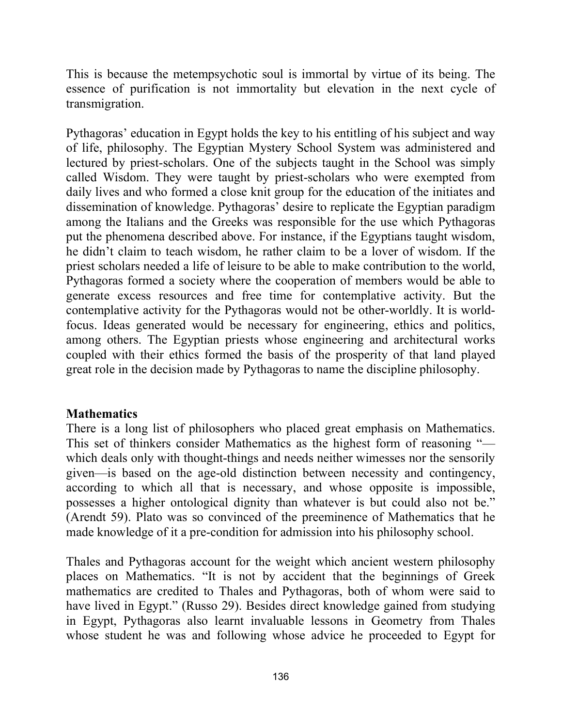This is because the metempsychotic soul is immortal by virtue of its being. The essence of purification is not immortality but elevation in the next cycle of transmigration.

Pythagoras' education in Egypt holds the key to his entitling of his subject and way of life, philosophy. The Egyptian Mystery School System was administered and lectured by priest-scholars. One of the subjects taught in the School was simply called Wisdom. They were taught by priest-scholars who were exempted from daily lives and who formed a close knit group for the education of the initiates and dissemination of knowledge. Pythagoras' desire to replicate the Egyptian paradigm among the Italians and the Greeks was responsible for the use which Pythagoras put the phenomena described above. For instance, if the Egyptians taught wisdom, he didn't claim to teach wisdom, he rather claim to be a lover of wisdom. If the priest scholars needed a life of leisure to be able to make contribution to the world, Pythagoras formed a society where the cooperation of members would be able to generate excess resources and free time for contemplative activity. But the contemplative activity for the Pythagoras would not be other-worldly. It is worldfocus. Ideas generated would be necessary for engineering, ethics and politics, among others. The Egyptian priests whose engineering and architectural works coupled with their ethics formed the basis of the prosperity of that land played great role in the decision made by Pythagoras to name the discipline philosophy.

# **Mathematics**

There is a long list of philosophers who placed great emphasis on Mathematics. This set of thinkers consider Mathematics as the highest form of reasoning " which deals only with thought-things and needs neither wimesses nor the sensorily given—is based on the age-old distinction between necessity and contingency, according to which all that is necessary, and whose opposite is impossible, possesses a higher ontological dignity than whatever is but could also not be." (Arendt 59). Plato was so convinced of the preeminence of Mathematics that he made knowledge of it a pre-condition for admission into his philosophy school.

Thales and Pythagoras account for the weight which ancient western philosophy places on Mathematics. "It is not by accident that the beginnings of Greek mathematics are credited to Thales and Pythagoras, both of whom were said to have lived in Egypt." (Russo 29). Besides direct knowledge gained from studying in Egypt, Pythagoras also learnt invaluable lessons in Geometry from Thales whose student he was and following whose advice he proceeded to Egypt for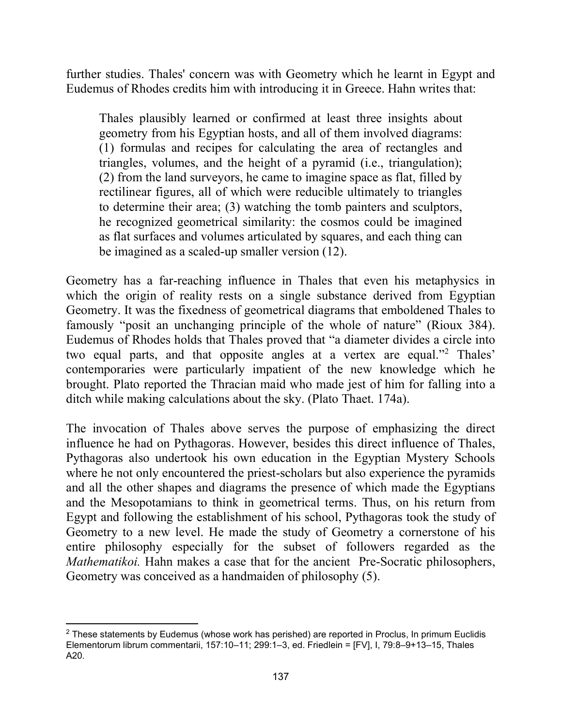further studies. Thales' concern was with Geometry which he learnt in Egypt and Eudemus of Rhodes credits him with introducing it in Greece. Hahn writes that:

Thales plausibly learned or confirmed at least three insights about geometry from his Egyptian hosts, and all of them involved diagrams: (1) formulas and recipes for calculating the area of rectangles and triangles, volumes, and the height of a pyramid (i.e., triangulation); (2) from the land surveyors, he came to imagine space as flat, filled by rectilinear figures, all of which were reducible ultimately to triangles to determine their area; (3) watching the tomb painters and sculptors, he recognized geometrical similarity: the cosmos could be imagined as flat surfaces and volumes articulated by squares, and each thing can be imagined as a scaled-up smaller version (12).

Geometry has a far-reaching influence in Thales that even his metaphysics in which the origin of reality rests on a single substance derived from Egyptian Geometry. It was the fixedness of geometrical diagrams that emboldened Thales to famously "posit an unchanging principle of the whole of nature" (Rioux 384). Eudemus of Rhodes holds that Thales proved that "a diameter divides a circle into two equal parts, and that opposite angles at a vertex are equal."<sup>2</sup> Thales' contemporaries were particularly impatient of the new knowledge which he brought. Plato reported the Thracian maid who made jest of him for falling into a ditch while making calculations about the sky. (Plato Thaet. 174a).

The invocation of Thales above serves the purpose of emphasizing the direct influence he had on Pythagoras. However, besides this direct influence of Thales, Pythagoras also undertook his own education in the Egyptian Mystery Schools where he not only encountered the priest-scholars but also experience the pyramids and all the other shapes and diagrams the presence of which made the Egyptians and the Mesopotamians to think in geometrical terms. Thus, on his return from Egypt and following the establishment of his school, Pythagoras took the study of Geometry to a new level. He made the study of Geometry a cornerstone of his entire philosophy especially for the subset of followers regarded as the Mathematikoi. Hahn makes a case that for the ancient Pre-Socratic philosophers, Geometry was conceived as a handmaiden of philosophy (5).

 $^2$  These statements by Eudemus (whose work has perished) are reported in Proclus, In primum Euclidis Elementorum librum commentarii, 157:10–11; 299:1–3, ed. Friedlein = [FV], I, 79:8–9+13–15, Thales A20.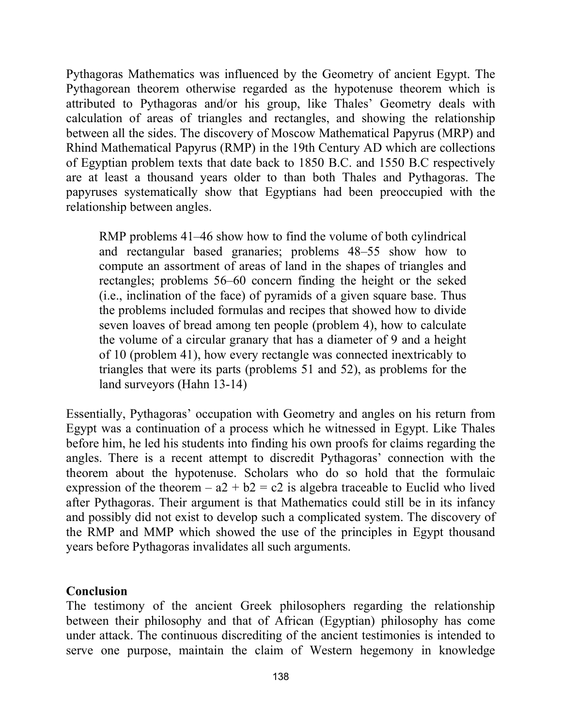Pythagoras Mathematics was influenced by the Geometry of ancient Egypt. The Pythagorean theorem otherwise regarded as the hypotenuse theorem which is attributed to Pythagoras and/or his group, like Thales' Geometry deals with calculation of areas of triangles and rectangles, and showing the relationship between all the sides. The discovery of Moscow Mathematical Papyrus (MRP) and Rhind Mathematical Papyrus (RMP) in the 19th Century AD which are collections of Egyptian problem texts that date back to 1850 B.C. and 1550 B.C respectively are at least a thousand years older to than both Thales and Pythagoras. The papyruses systematically show that Egyptians had been preoccupied with the relationship between angles.

RMP problems 41–46 show how to find the volume of both cylindrical and rectangular based granaries; problems 48–55 show how to compute an assortment of areas of land in the shapes of triangles and rectangles; problems 56–60 concern finding the height or the seked (i.e., inclination of the face) of pyramids of a given square base. Thus the problems included formulas and recipes that showed how to divide seven loaves of bread among ten people (problem 4), how to calculate the volume of a circular granary that has a diameter of 9 and a height of 10 (problem 41), how every rectangle was connected inextricably to triangles that were its parts (problems 51 and 52), as problems for the land surveyors (Hahn 13-14)

Essentially, Pythagoras' occupation with Geometry and angles on his return from Egypt was a continuation of a process which he witnessed in Egypt. Like Thales before him, he led his students into finding his own proofs for claims regarding the angles. There is a recent attempt to discredit Pythagoras' connection with the theorem about the hypotenuse. Scholars who do so hold that the formulaic expression of the theorem –  $a2 + b2 = c2$  is algebra traceable to Euclid who lived after Pythagoras. Their argument is that Mathematics could still be in its infancy and possibly did not exist to develop such a complicated system. The discovery of the RMP and MMP which showed the use of the principles in Egypt thousand years before Pythagoras invalidates all such arguments.

#### **Conclusion**

The testimony of the ancient Greek philosophers regarding the relationship between their philosophy and that of African (Egyptian) philosophy has come under attack. The continuous discrediting of the ancient testimonies is intended to serve one purpose, maintain the claim of Western hegemony in knowledge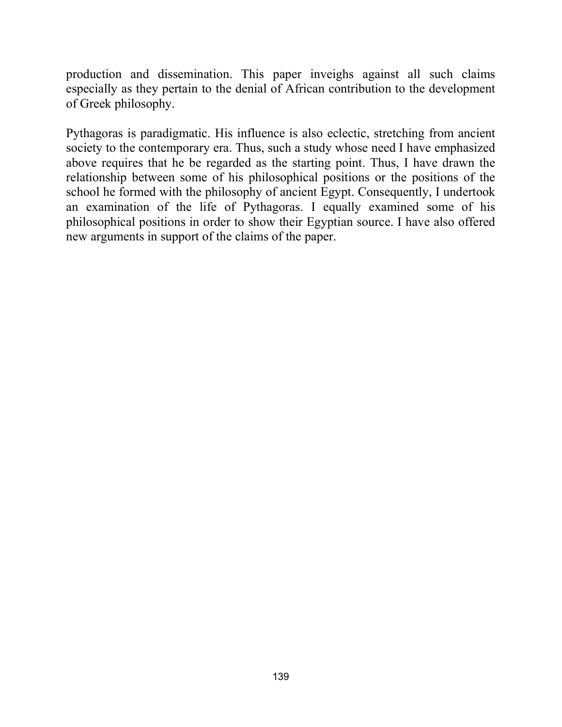production and dissemination. This paper inveighs against all such claims especially as they pertain to the denial of African contribution to the development of Greek philosophy.

Pythagoras is paradigmatic. His influence is also eclectic, stretching from ancient society to the contemporary era. Thus, such a study whose need I have emphasized above requires that he be regarded as the starting point. Thus, I have drawn the relationship between some of his philosophical positions or the positions of the school he formed with the philosophy of ancient Egypt. Consequently, I undertook an examination of the life of Pythagoras. I equally examined some of his philosophical positions in order to show their Egyptian source. I have also offered new arguments in support of the claims of the paper.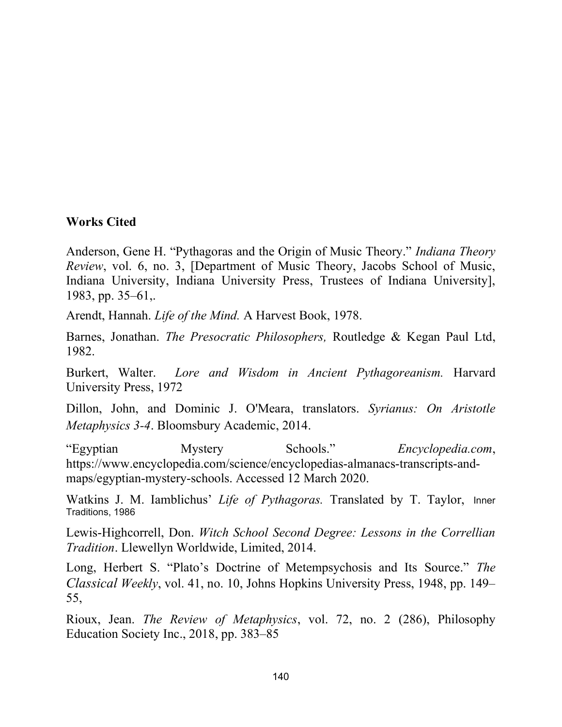## Works Cited

Anderson, Gene H. "Pythagoras and the Origin of Music Theory." Indiana Theory Review, vol. 6, no. 3, [Department of Music Theory, Jacobs School of Music, Indiana University, Indiana University Press, Trustees of Indiana University], 1983, pp. 35–61,.

Arendt, Hannah. Life of the Mind. A Harvest Book, 1978.

Barnes, Jonathan. The Presocratic Philosophers, Routledge & Kegan Paul Ltd, 1982.

Burkert, Walter. Lore and Wisdom in Ancient Pythagoreanism. Harvard University Press, 1972

Dillon, John, and Dominic J. O'Meara, translators. Syrianus: On Aristotle Metaphysics 3-4. Bloomsbury Academic, 2014.

"Egyptian Mystery Schools." Encyclopedia.com, https://www.encyclopedia.com/science/encyclopedias-almanacs-transcripts-andmaps/egyptian-mystery-schools. Accessed 12 March 2020.

Watkins J. M. Iamblichus' Life of Pythagoras. Translated by T. Taylor, Inner Traditions, 1986

Lewis-Highcorrell, Don. Witch School Second Degree: Lessons in the Correllian Tradition. Llewellyn Worldwide, Limited, 2014.

Long, Herbert S. "Plato's Doctrine of Metempsychosis and Its Source." The Classical Weekly, vol. 41, no. 10, Johns Hopkins University Press, 1948, pp. 149– 55,

Rioux, Jean. The Review of Metaphysics, vol. 72, no. 2 (286), Philosophy Education Society Inc., 2018, pp. 383–85